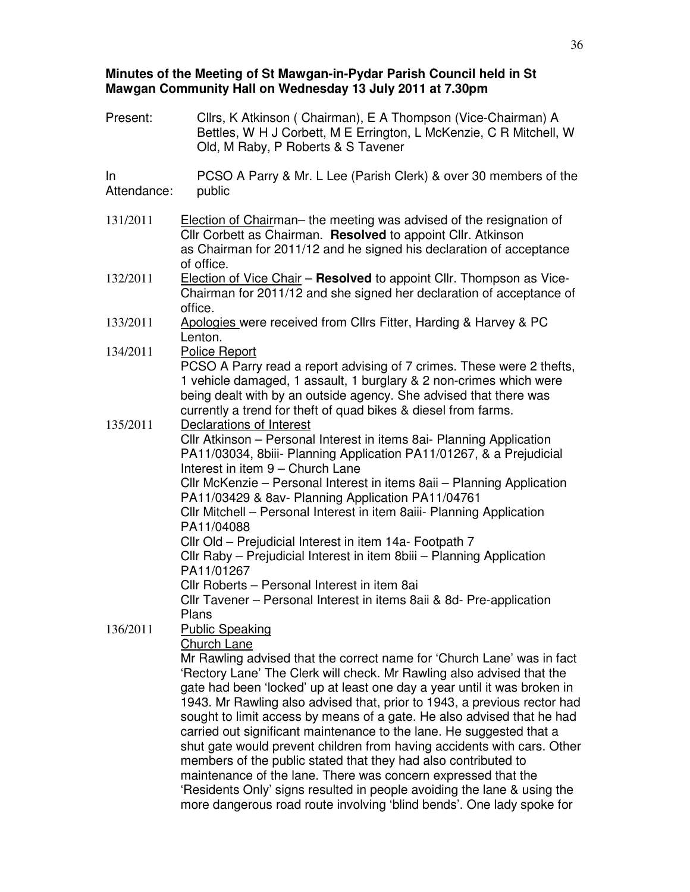### **Minutes of the Meeting of St Mawgan-in-Pydar Parish Council held in St Mawgan Community Hall on Wednesday 13 July 2011 at 7.30pm**

| Present:          | Cllrs, K Atkinson (Chairman), E A Thompson (Vice-Chairman) A<br>Bettles, W H J Corbett, M E Errington, L McKenzie, C R Mitchell, W<br>Old, M Raby, P Roberts & S Tavener                                                                                                                                                                                                                                                                                                                                                                                                                                                                                                                                                                                                                                                                                                    |
|-------------------|-----------------------------------------------------------------------------------------------------------------------------------------------------------------------------------------------------------------------------------------------------------------------------------------------------------------------------------------------------------------------------------------------------------------------------------------------------------------------------------------------------------------------------------------------------------------------------------------------------------------------------------------------------------------------------------------------------------------------------------------------------------------------------------------------------------------------------------------------------------------------------|
| In<br>Attendance: | PCSO A Parry & Mr. L Lee (Parish Clerk) & over 30 members of the<br>public                                                                                                                                                                                                                                                                                                                                                                                                                                                                                                                                                                                                                                                                                                                                                                                                  |
| 131/2011          | Election of Chairman– the meeting was advised of the resignation of<br>Cllr Corbett as Chairman. Resolved to appoint Cllr. Atkinson<br>as Chairman for 2011/12 and he signed his declaration of acceptance<br>of office.                                                                                                                                                                                                                                                                                                                                                                                                                                                                                                                                                                                                                                                    |
| 132/2011          | Election of Vice Chair - Resolved to appoint Cllr. Thompson as Vice-<br>Chairman for 2011/12 and she signed her declaration of acceptance of<br>office.                                                                                                                                                                                                                                                                                                                                                                                                                                                                                                                                                                                                                                                                                                                     |
| 133/2011          | Apologies were received from Cllrs Fitter, Harding & Harvey & PC<br>Lenton.                                                                                                                                                                                                                                                                                                                                                                                                                                                                                                                                                                                                                                                                                                                                                                                                 |
| 134/2011          | Police Report<br>PCSO A Parry read a report advising of 7 crimes. These were 2 thefts,<br>1 vehicle damaged, 1 assault, 1 burglary & 2 non-crimes which were<br>being dealt with by an outside agency. She advised that there was<br>currently a trend for theft of quad bikes & diesel from farms.                                                                                                                                                                                                                                                                                                                                                                                                                                                                                                                                                                         |
| 135/2011          | Declarations of Interest<br>Cllr Atkinson - Personal Interest in items 8ai- Planning Application<br>PA11/03034, 8biii- Planning Application PA11/01267, & a Prejudicial<br>Interest in item 9 - Church Lane<br>CIIr McKenzie – Personal Interest in items 8aii – Planning Application<br>PA11/03429 & 8av- Planning Application PA11/04761<br>CIIr Mitchell - Personal Interest in item 8aiii- Planning Application<br>PA11/04088<br>Cllr Old - Prejudicial Interest in item 14a- Footpath 7<br>Cllr Raby - Prejudicial Interest in item 8biii - Planning Application<br>PA11/01267<br>Cllr Roberts - Personal Interest in item 8ai<br>CIIr Tavener - Personal Interest in items 8aii & 8d- Pre-application<br>Plans                                                                                                                                                        |
| 136/2011          | <b>Public Speaking</b><br><b>Church Lane</b><br>Mr Rawling advised that the correct name for 'Church Lane' was in fact<br>'Rectory Lane' The Clerk will check. Mr Rawling also advised that the<br>gate had been 'locked' up at least one day a year until it was broken in<br>1943. Mr Rawling also advised that, prior to 1943, a previous rector had<br>sought to limit access by means of a gate. He also advised that he had<br>carried out significant maintenance to the lane. He suggested that a<br>shut gate would prevent children from having accidents with cars. Other<br>members of the public stated that they had also contributed to<br>maintenance of the lane. There was concern expressed that the<br>'Residents Only' signs resulted in people avoiding the lane & using the<br>more dangerous road route involving 'blind bends'. One lady spoke for |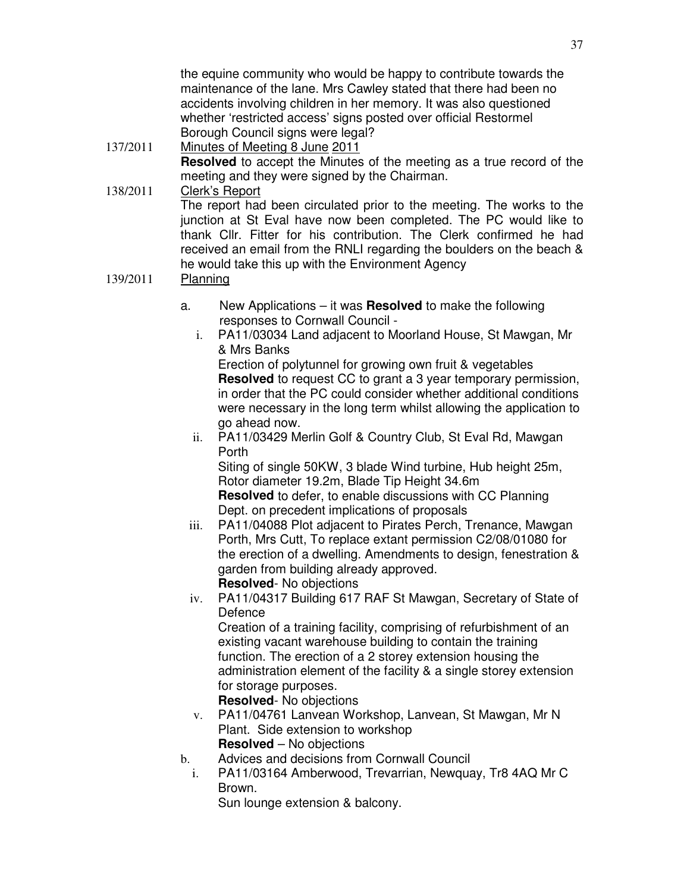the equine community who would be happy to contribute towards the maintenance of the lane. Mrs Cawley stated that there had been no accidents involving children in her memory. It was also questioned whether 'restricted access' signs posted over official Restormel Borough Council signs were legal?

# 137/2011 Minutes of Meeting 8 June 2011 **Resolved** to accept the Minutes of the meeting as a true record of the meeting and they were signed by the Chairman.

138/2011 Clerk's Report The report had been circulated prior to the meeting. The works to the junction at St Eval have now been completed. The PC would like to thank Cllr. Fitter for his contribution. The Clerk confirmed he had received an email from the RNLI regarding the boulders on the beach & he would take this up with the Environment Agency

## 139/2011 Planning

- a. New Applications it was **Resolved** to make the following responses to Cornwall Council
	- i. PA11/03034 Land adjacent to Moorland House, St Mawgan, Mr & Mrs Banks Erection of polytunnel for growing own fruit & vegetables **Resolved** to request CC to grant a 3 year temporary permission, in order that the PC could consider whether additional conditions were necessary in the long term whilst allowing the application to go ahead now.
	- ii. PA11/03429 Merlin Golf & Country Club, St Eval Rd, Mawgan Porth

Siting of single 50KW, 3 blade Wind turbine, Hub height 25m, Rotor diameter 19.2m, Blade Tip Height 34.6m **Resolved** to defer, to enable discussions with CC Planning Dept. on precedent implications of proposals

- iii. PA11/04088 Plot adjacent to Pirates Perch, Trenance, Mawgan Porth, Mrs Cutt, To replace extant permission C2/08/01080 for the erection of a dwelling. Amendments to design, fenestration & garden from building already approved. **Resolved**- No objections
- iv. PA11/04317 Building 617 RAF St Mawgan, Secretary of State of Defence

Creation of a training facility, comprising of refurbishment of an existing vacant warehouse building to contain the training function. The erection of a 2 storey extension housing the administration element of the facility & a single storey extension for storage purposes.

**Resolved**- No objections

- v. PA11/04761 Lanvean Workshop, Lanvean, St Mawgan, Mr N Plant. Side extension to workshop **Resolved** – No objections
- b. Advices and decisions from Cornwall Council
	- i. PA11/03164 Amberwood, Trevarrian, Newquay, Tr8 4AQ Mr C Brown.
		- Sun lounge extension & balcony.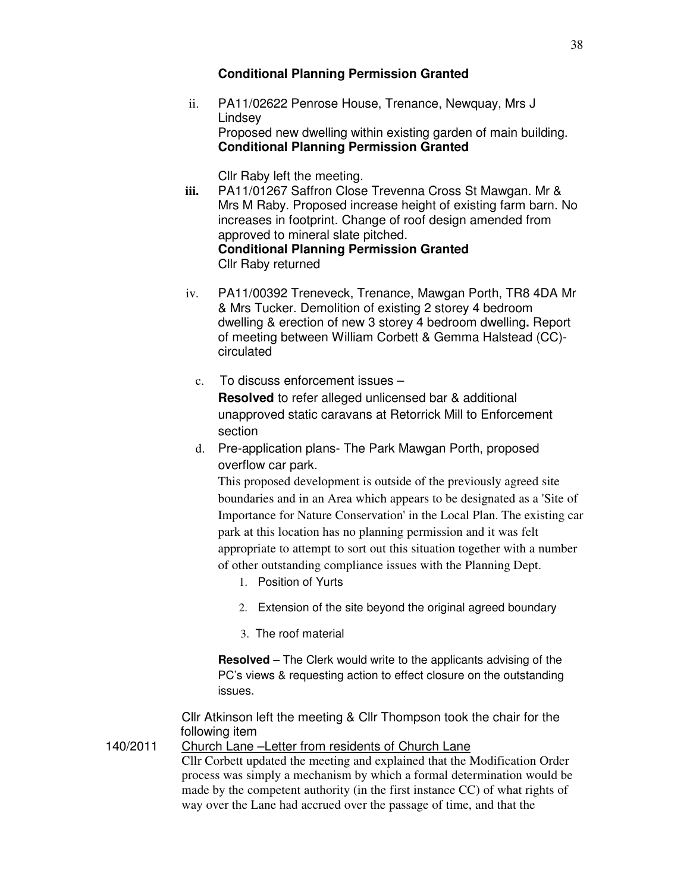## **Conditional Planning Permission Granted**

ii. PA11/02622 Penrose House, Trenance, Newquay, Mrs J Lindsey Proposed new dwelling within existing garden of main building. **Conditional Planning Permission Granted**

Cllr Raby left the meeting.

- **iii.** PA11/01267 Saffron Close Trevenna Cross St Mawgan. Mr & Mrs M Raby. Proposed increase height of existing farm barn. No increases in footprint. Change of roof design amended from approved to mineral slate pitched. **Conditional Planning Permission Granted**  Cllr Raby returned
- iv. PA11/00392 Treneveck, Trenance, Mawgan Porth, TR8 4DA Mr & Mrs Tucker. Demolition of existing 2 storey 4 bedroom dwelling & erection of new 3 storey 4 bedroom dwelling**.** Report of meeting between William Corbett & Gemma Halstead (CC) circulated
	- c. To discuss enforcement issues **Resolved** to refer alleged unlicensed bar & additional unapproved static caravans at Retorrick Mill to Enforcement section
	- d. Pre-application plans- The Park Mawgan Porth, proposed overflow car park.

This proposed development is outside of the previously agreed site boundaries and in an Area which appears to be designated as a 'Site of Importance for Nature Conservation' in the Local Plan. The existing car park at this location has no planning permission and it was felt appropriate to attempt to sort out this situation together with a number of other outstanding compliance issues with the Planning Dept.

- 1. Position of Yurts
- 2. Extension of the site beyond the original agreed boundary
- 3. The roof material

**Resolved** – The Clerk would write to the applicants advising of the PC's views & requesting action to effect closure on the outstanding issues.

Cllr Atkinson left the meeting & Cllr Thompson took the chair for the following item

140/2011 Church Lane –Letter from residents of Church Lane Cllr Corbett updated the meeting and explained that the Modification Order process was simply a mechanism by which a formal determination would be made by the competent authority (in the first instance CC) of what rights of way over the Lane had accrued over the passage of time, and that the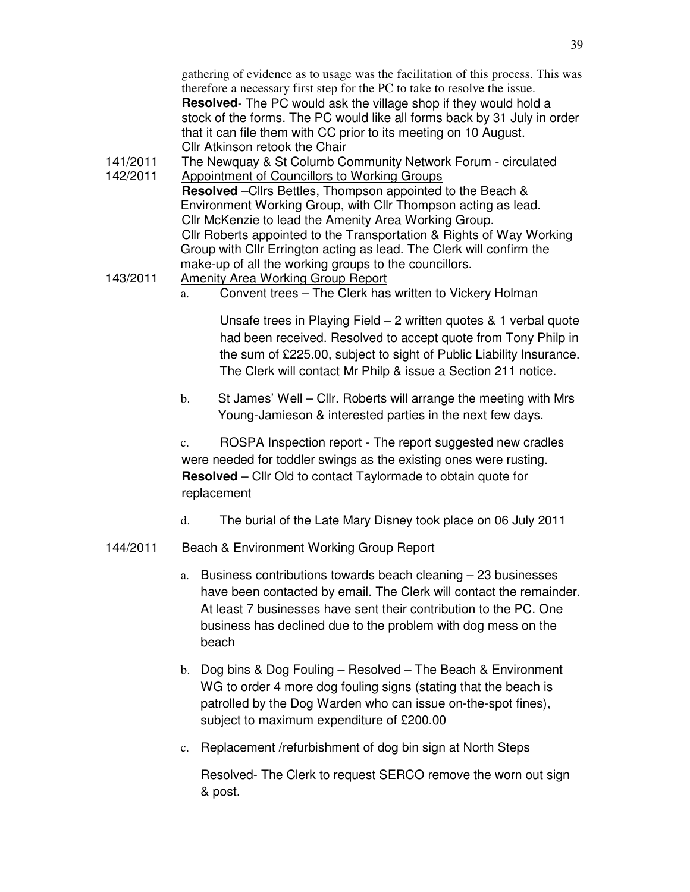gathering of evidence as to usage was the facilitation of this process. This was therefore a necessary first step for the PC to take to resolve the issue. **Resolved**- The PC would ask the village shop if they would hold a stock of the forms. The PC would like all forms back by 31 July in order that it can file them with CC prior to its meeting on 10 August. Cllr Atkinson retook the Chair

- 141/2011 The Newquay & St Columb Community Network Forum circulated 142/2011 Appointment of Councillors to Working Groups **Resolved** –Cllrs Bettles, Thompson appointed to the Beach & Environment Working Group, with Cllr Thompson acting as lead. Cllr McKenzie to lead the Amenity Area Working Group. Cllr Roberts appointed to the Transportation & Rights of Way Working Group with Cllr Errington acting as lead. The Clerk will confirm the make-up of all the working groups to the councillors.
- 143/2011 Amenity Area Working Group Report a. Convent trees – The Clerk has written to Vickery Holman

Unsafe trees in Playing Field – 2 written quotes & 1 verbal quote had been received. Resolved to accept quote from Tony Philp in the sum of £225.00, subject to sight of Public Liability Insurance. The Clerk will contact Mr Philp & issue a Section 211 notice.

b. St James' Well – Cllr. Roberts will arrange the meeting with Mrs Young-Jamieson & interested parties in the next few days.

c. ROSPA Inspection report - The report suggested new cradles were needed for toddler swings as the existing ones were rusting. **Resolved** – Cllr Old to contact Taylormade to obtain quote for replacement

d. The burial of the Late Mary Disney took place on 06 July 2011

## 144/2011 Beach & Environment Working Group Report

- a. Business contributions towards beach cleaning 23 businesses have been contacted by email. The Clerk will contact the remainder. At least 7 businesses have sent their contribution to the PC. One business has declined due to the problem with dog mess on the beach
- b. Dog bins & Dog Fouling Resolved The Beach & Environment WG to order 4 more dog fouling signs (stating that the beach is patrolled by the Dog Warden who can issue on-the-spot fines), subject to maximum expenditure of £200.00
- c. Replacement /refurbishment of dog bin sign at North Steps

Resolved- The Clerk to request SERCO remove the worn out sign & post.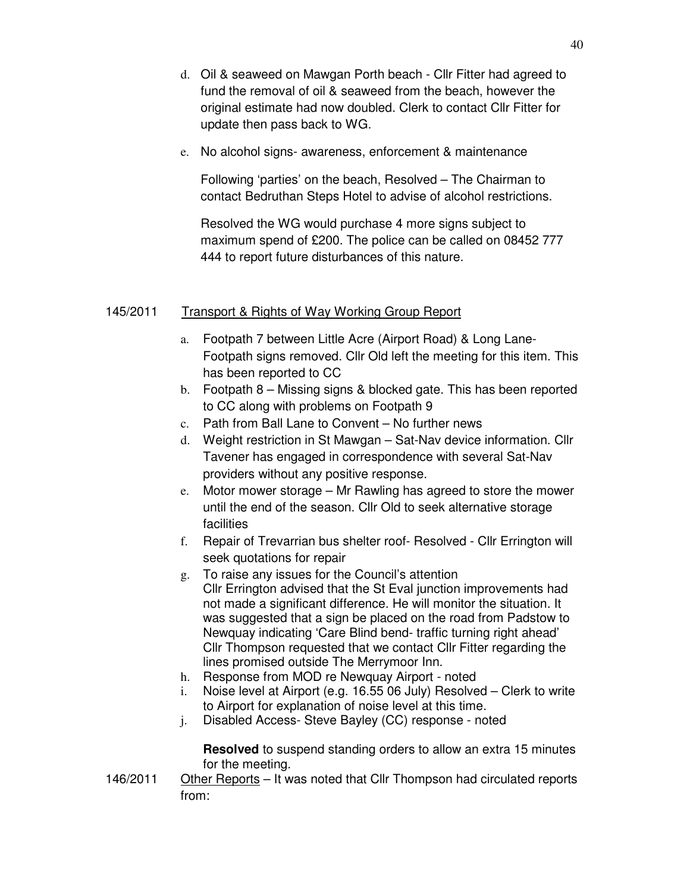- d. Oil & seaweed on Mawgan Porth beach Cllr Fitter had agreed to fund the removal of oil & seaweed from the beach, however the original estimate had now doubled. Clerk to contact Cllr Fitter for update then pass back to WG.
- e. No alcohol signs- awareness, enforcement & maintenance

Following 'parties' on the beach, Resolved – The Chairman to contact Bedruthan Steps Hotel to advise of alcohol restrictions.

Resolved the WG would purchase 4 more signs subject to maximum spend of £200. The police can be called on 08452 777 444 to report future disturbances of this nature.

### 145/2011 Transport & Rights of Way Working Group Report

- a. Footpath 7 between Little Acre (Airport Road) & Long Lane-Footpath signs removed. Cllr Old left the meeting for this item. This has been reported to CC
- b. Footpath 8 Missing signs & blocked gate. This has been reported to CC along with problems on Footpath 9
- c. Path from Ball Lane to Convent No further news
- d. Weight restriction in St Mawgan Sat-Nav device information. Cllr Tavener has engaged in correspondence with several Sat-Nav providers without any positive response.
- e. Motor mower storage Mr Rawling has agreed to store the mower until the end of the season. Cllr Old to seek alternative storage facilities
- f. Repair of Trevarrian bus shelter roof- Resolved Cllr Errington will seek quotations for repair
- g. To raise any issues for the Council's attention Cllr Errington advised that the St Eval junction improvements had not made a significant difference. He will monitor the situation. It was suggested that a sign be placed on the road from Padstow to Newquay indicating 'Care Blind bend- traffic turning right ahead' Cllr Thompson requested that we contact Cllr Fitter regarding the lines promised outside The Merrymoor Inn.
- h. Response from MOD re Newquay Airport noted
- i. Noise level at Airport (e.g. 16.55 06 July) Resolved Clerk to write to Airport for explanation of noise level at this time.
- j. Disabled Access- Steve Bayley (CC) response noted

**Resolved** to suspend standing orders to allow an extra 15 minutes for the meeting.

146/2011 Other Reports – It was noted that Cllr Thompson had circulated reports from: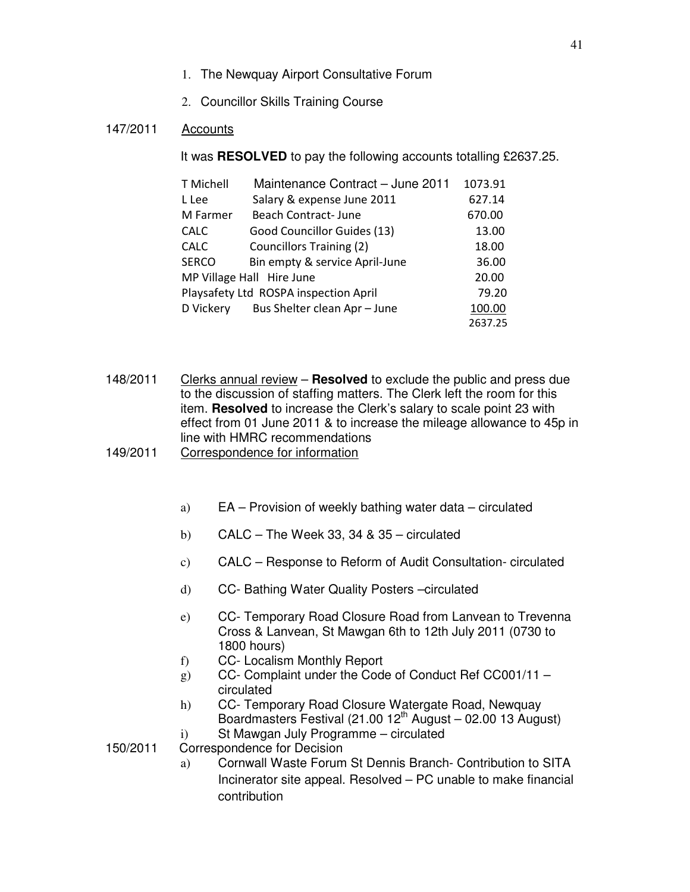- 1. The Newquay Airport Consultative Forum
- 2. Councillor Skills Training Course

### 147/2011 Accounts

It was **RESOLVED** to pay the following accounts totalling £2637.25.

|             | T Michell                             | Maintenance Contract - June 2011 | 1073.91 |
|-------------|---------------------------------------|----------------------------------|---------|
| L Lee       |                                       | Salary & expense June 2011       | 627.14  |
|             | M Farmer                              | Beach Contract-June              | 670.00  |
| <b>CALC</b> |                                       | Good Councillor Guides (13)      | 13.00   |
| <b>CALC</b> |                                       | <b>Councillors Training (2)</b>  | 18.00   |
|             | <b>SERCO</b>                          | Bin empty & service April-June   | 36.00   |
|             |                                       | MP Village Hall Hire June        | 20.00   |
|             | Playsafety Ltd ROSPA inspection April |                                  |         |
|             | D Vickery                             | Bus Shelter clean Apr - June     | 100.00  |
|             |                                       |                                  | 2637.25 |

148/2011 Clerks annual review – **Resolved** to exclude the public and press due to the discussion of staffing matters. The Clerk left the room for this item. **Resolved** to increase the Clerk's salary to scale point 23 with effect from 01 June 2011 & to increase the mileage allowance to 45p in line with HMRC recommendations

- 149/2011 Correspondence for information
	- a) EA Provision of weekly bathing water data circulated
	- b) CALC The Week 33, 34 &  $35$  circulated
	- c) CALC Response to Reform of Audit Consultation- circulated
	- d) CC- Bathing Water Quality Posters –circulated
	- e) CC- Temporary Road Closure Road from Lanvean to Trevenna Cross & Lanvean, St Mawgan 6th to 12th July 2011 (0730 to 1800 hours)
	- f) CC- Localism Monthly Report
	- g) CC- Complaint under the Code of Conduct Ref CC001/11 circulated
	- h) CC- Temporary Road Closure Watergate Road, Newquay Boardmasters Festival (21.00  $12^{th}$  August – 02.00 13 August)
	- i) St Mawgan July Programme circulated
- 150/2011 Correspondence for Decision
	- a) Cornwall Waste Forum St Dennis Branch- Contribution to SITA Incinerator site appeal. Resolved – PC unable to make financial contribution